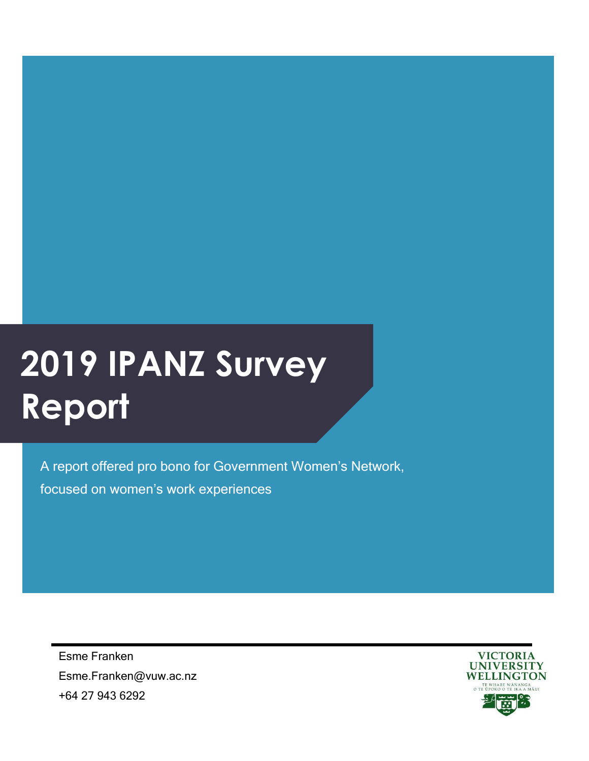# **2019 IPANZ Survey Report**

A report offered pro bono for Government Women's Network, focused on women's work experiences

Esme Franken Esme.Franken@vuw.ac.nz +64 27 943 6292

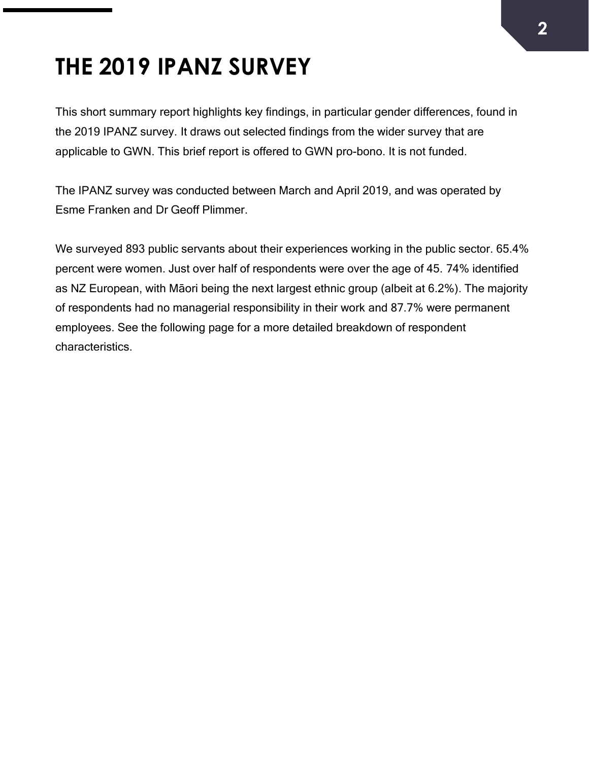## **THE 2019 IPANZ SURVEY**

This short summary report highlights key findings, in particular gender differences, found in the 2019 IPANZ survey. It draws out selected findings from the wider survey that are applicable to GWN. This brief report is offered to GWN pro-bono. It is not funded.

The IPANZ survey was conducted between March and April 2019, and was operated by Esme Franken and Dr Geoff Plimmer.

We surveyed 893 public servants about their experiences working in the public sector. 65.4% percent were women. Just over half of respondents were over the age of 45. 74% identified as NZ European, with Māori being the next largest ethnic group (albeit at 6.2%). The majority of respondents had no managerial responsibility in their work and 87.7% were permanent employees. See the following page for a more detailed breakdown of respondent characteristics.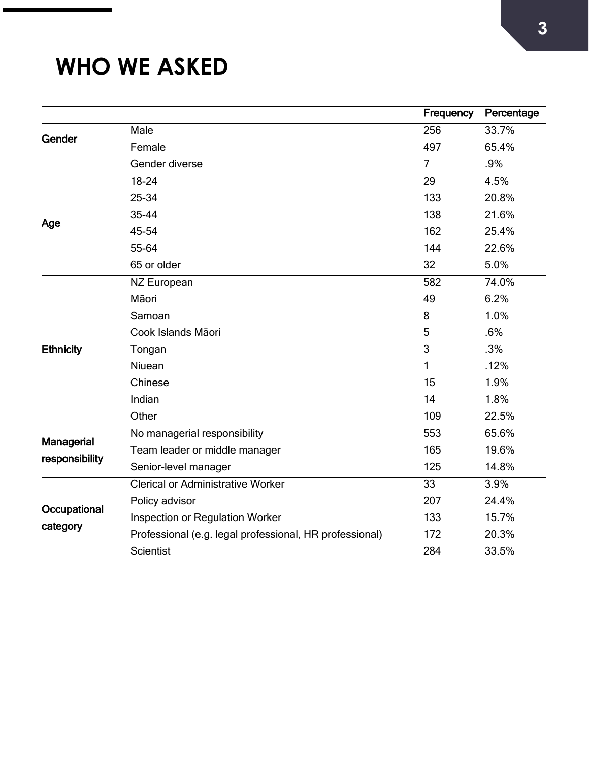### **WHO WE ASKED**

|                                     |                                                         | Frequency       | Percentage |
|-------------------------------------|---------------------------------------------------------|-----------------|------------|
| Gender                              | Male                                                    | 256             | 33.7%      |
|                                     | Female                                                  | 497             | 65.4%      |
|                                     | Gender diverse                                          | $\overline{7}$  | .9%        |
| Age                                 | 18-24                                                   | 29              | 4.5%       |
|                                     | 25-34                                                   | 133             | 20.8%      |
|                                     | 35-44                                                   | 138             | 21.6%      |
|                                     | 45-54                                                   | 162             | 25.4%      |
|                                     | 55-64                                                   | 144             | 22.6%      |
|                                     | 65 or older                                             | 32              | 5.0%       |
| <b>Ethnicity</b>                    | NZ European                                             | 582             | 74.0%      |
|                                     | Māori                                                   | 49              | 6.2%       |
|                                     | Samoan                                                  | 8               | 1.0%       |
|                                     | Cook Islands Māori                                      | 5               | .6%        |
|                                     | Tongan                                                  | 3               | .3%        |
|                                     | Niuean                                                  | 1               | .12%       |
|                                     | Chinese                                                 | 15              | 1.9%       |
|                                     | Indian                                                  | 14              | 1.8%       |
|                                     | Other                                                   | 109             | 22.5%      |
| <b>Managerial</b><br>responsibility | No managerial responsibility                            | 553             | 65.6%      |
|                                     | Team leader or middle manager                           | 165             | 19.6%      |
|                                     | Senior-level manager                                    | 125             | 14.8%      |
| Occupational<br>category            | <b>Clerical or Administrative Worker</b>                | $\overline{33}$ | 3.9%       |
|                                     | Policy advisor                                          | 207             | 24.4%      |
|                                     | Inspection or Regulation Worker                         | 133             | 15.7%      |
|                                     | Professional (e.g. legal professional, HR professional) | 172             | 20.3%      |
|                                     | <b>Scientist</b>                                        | 284             | 33.5%      |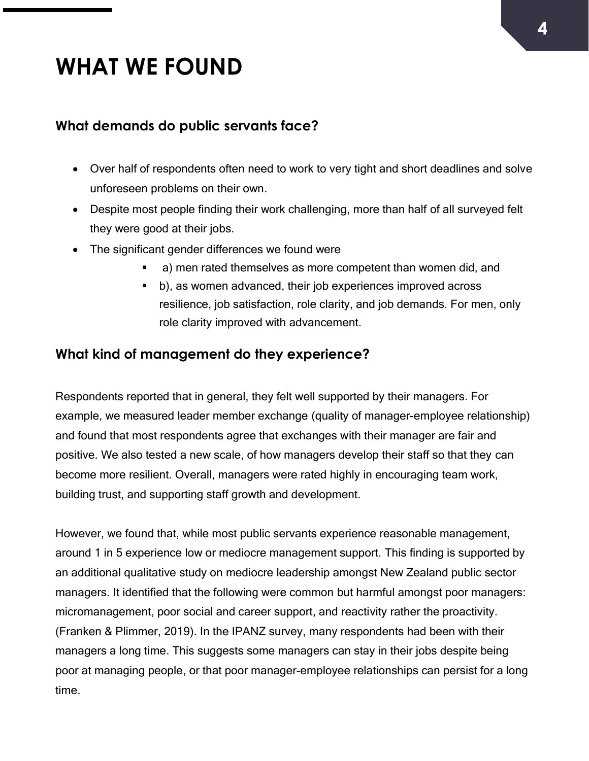### **WHAT WE FOUND**

#### **What demands do public servants face?**

- Over half of respondents often need to work to very tight and short deadlines and solve unforeseen problems on their own.
- Despite most people finding their work challenging, more than half of all surveyed felt they were good at their jobs.
- The significant gender differences we found were
	- a) men rated themselves as more competent than women did, and
	- b), as women advanced, their job experiences improved across resilience, job satisfaction, role clarity, and job demands. For men, only role clarity improved with advancement.

#### **What kind of management do they experience?**

Respondents reported that in general, they felt well supported by their managers. For example, we measured leader member exchange (quality of manager-employee relationship) and found that most respondents agree that exchanges with their manager are fair and positive. We also tested a new scale, of how managers develop their staff so that they can become more resilient. Overall, managers were rated highly in encouraging team work, building trust, and supporting staff growth and development.

However, we found that, while most public servants experience reasonable management, around 1 in 5 experience low or mediocre management support. This finding is supported by an additional qualitative study on mediocre leadership amongst New Zealand public sector managers. It identified that the following were common but harmful amongst poor managers: micromanagement, poor social and career support, and reactivity rather the proactivity. (Franken & Plimmer, 2019). In the IPANZ survey, many respondents had been with their managers a long time. This suggests some managers can stay in their jobs despite being poor at managing people, or that poor manager-employee relationships can persist for a long time.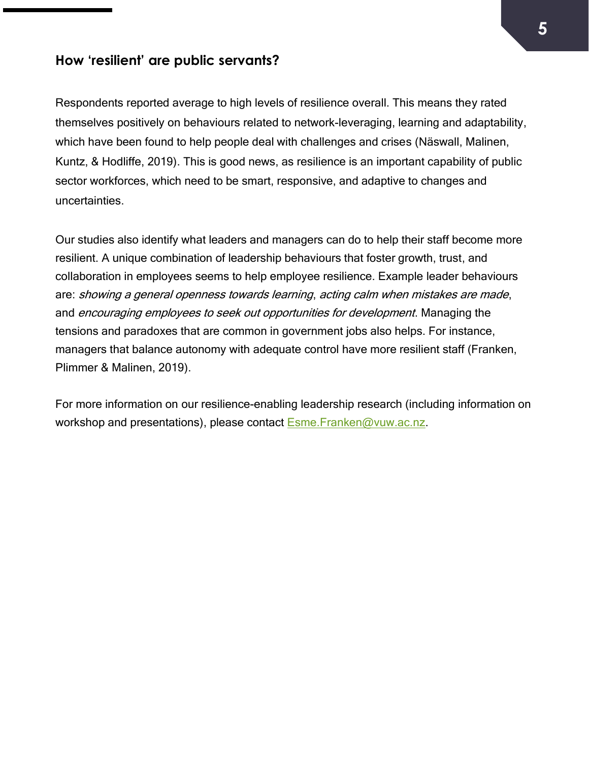#### **How 'resilient' are public servants?**

Respondents reported average to high levels of resilience overall. This means they rated themselves positively on behaviours related to network-leveraging, learning and adaptability, which have been found to help people deal with challenges and crises (Näswall, Malinen, Kuntz, & Hodliffe, 2019). This is good news, as resilience is an important capability of public sector workforces, which need to be smart, responsive, and adaptive to changes and uncertainties.

Our studies also identify what leaders and managers can do to help their staff become more resilient. A unique combination of leadership behaviours that foster growth, trust, and collaboration in employees seems to help employee resilience. Example leader behaviours are: showing a general openness towards learning, acting calm when mistakes are made, and encouraging employees to seek out opportunities for development. Managing the tensions and paradoxes that are common in government jobs also helps. For instance, managers that balance autonomy with adequate control have more resilient staff (Franken, Plimmer & Malinen, 2019).

For more information on our resilience-enabling leadership research (including information on workshop and presentations), please contact Esme. Franken@vuw.ac.nz.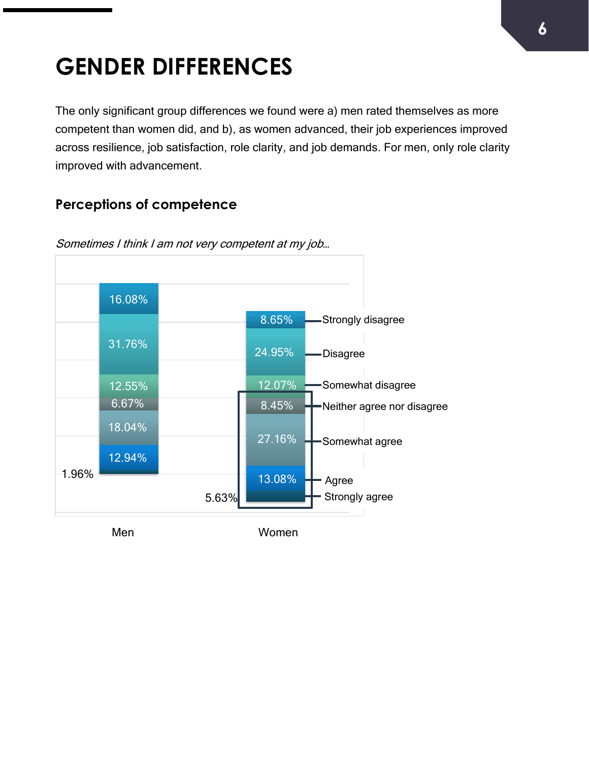# **GENDER DIFFERENCES**

The only significant group differences we found were a) men rated themselves as more competent than women did, and b), as women advanced, their job experiences improved across resilience, job satisfaction, role clarity, and job demands. For men, only role clarity improved with advancement.

#### **Perceptions of competence**



Sometimes I think I am not very competent at my job…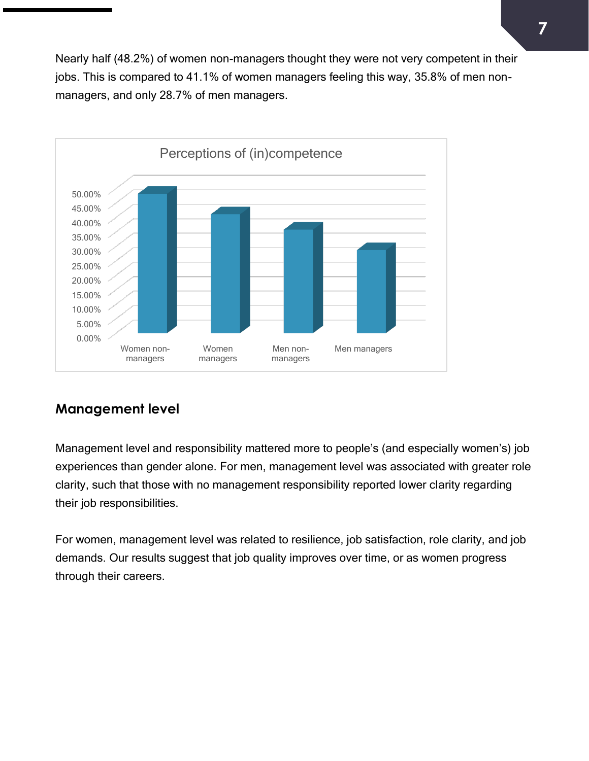Nearly half (48.2%) of women non-managers thought they were not very competent in their jobs. This is compared to 41.1% of women managers feeling this way, 35.8% of men nonmanagers, and only 28.7% of men managers.



#### **Management level**

Management level and responsibility mattered more to people's (and especially women's) job experiences than gender alone. For men, management level was associated with greater role clarity, such that those with no management responsibility reported lower clarity regarding their job responsibilities.

For women, management level was related to resilience, job satisfaction, role clarity, and job demands. Our results suggest that job quality improves over time, or as women progress through their careers.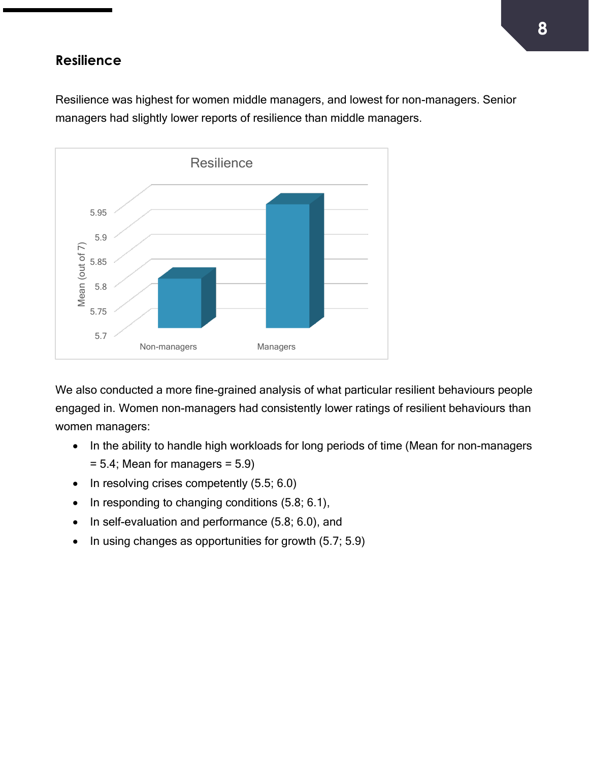#### **Resilience**

Resilience was highest for women middle managers, and lowest for non-managers. Senior managers had slightly lower reports of resilience than middle managers.



We also conducted a more fine-grained analysis of what particular resilient behaviours people engaged in. Women non-managers had consistently lower ratings of resilient behaviours than women managers:

- In the ability to handle high workloads for long periods of time (Mean for non-managers  $= 5.4$ ; Mean for managers  $= 5.9$ )
- In resolving crises competently (5.5; 6.0)
- In responding to changing conditions (5.8; 6.1),
- In self-evaluation and performance (5.8; 6.0), and
- In using changes as opportunities for growth (5.7; 5.9)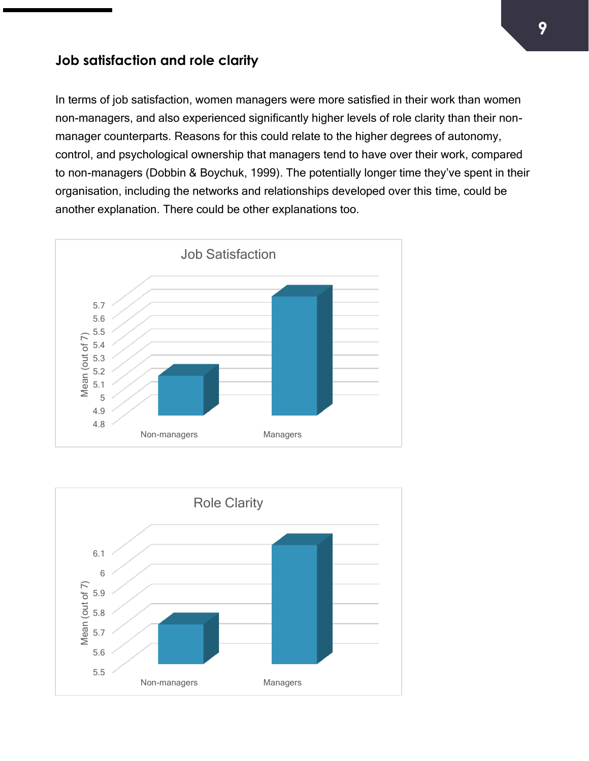#### **Job satisfaction and role clarity**

In terms of job satisfaction, women managers were more satisfied in their work than women non-managers, and also experienced significantly higher levels of role clarity than their nonmanager counterparts. Reasons for this could relate to the higher degrees of autonomy, control, and psychological ownership that managers tend to have over their work, compared to non-managers (Dobbin & Boychuk, 1999). The potentially longer time they've spent in their organisation, including the networks and relationships developed over this time, could be another explanation. There could be other explanations too.



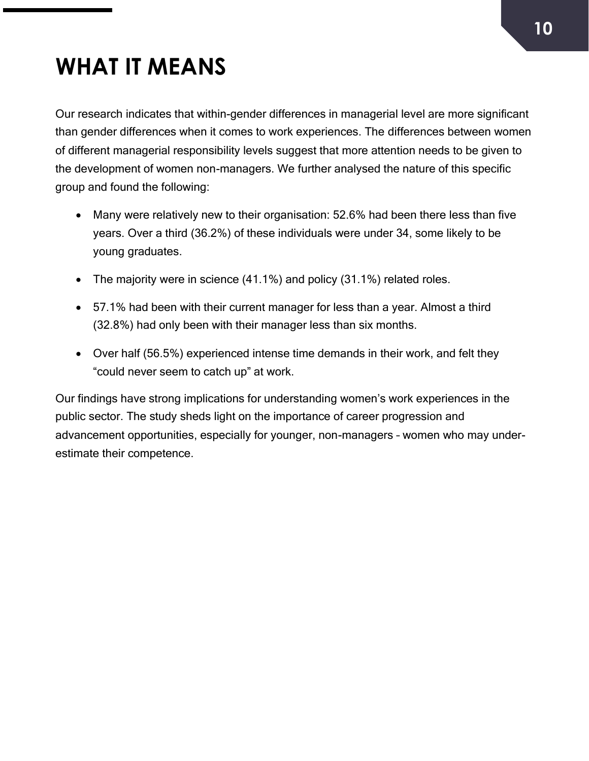# **WHAT IT MEANS**

Our research indicates that within-gender differences in managerial level are more significant than gender differences when it comes to work experiences. The differences between women of different managerial responsibility levels suggest that more attention needs to be given to the development of women non-managers. We further analysed the nature of this specific group and found the following:

- Many were relatively new to their organisation: 52.6% had been there less than five years. Over a third (36.2%) of these individuals were under 34, some likely to be young graduates.
- The majority were in science (41.1%) and policy (31.1%) related roles.
- 57.1% had been with their current manager for less than a year. Almost a third (32.8%) had only been with their manager less than six months.
- Over half (56.5%) experienced intense time demands in their work, and felt they "could never seem to catch up" at work.

Our findings have strong implications for understanding women's work experiences in the public sector. The study sheds light on the importance of career progression and advancement opportunities, especially for younger, non-managers – women who may underestimate their competence.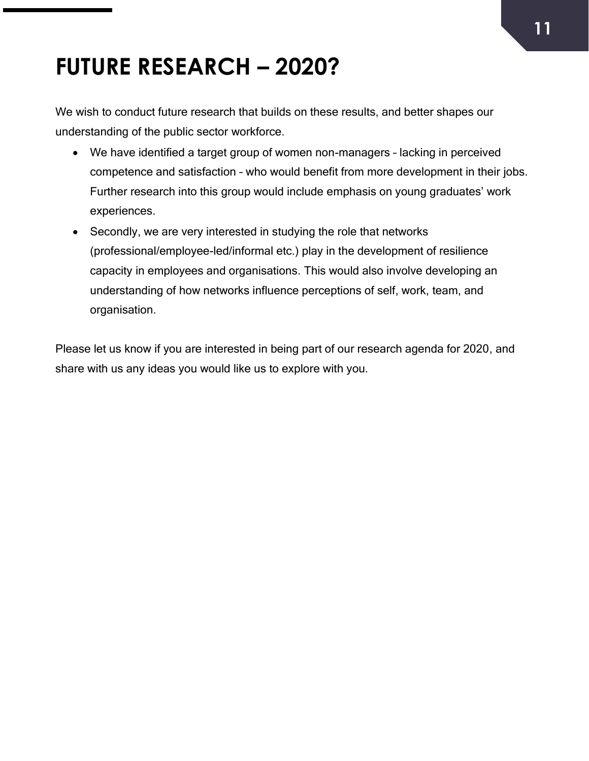## **FUTURE RESEARCH – 2020?**

We wish to conduct future research that builds on these results, and better shapes our understanding of the public sector workforce.

- We have identified a target group of women non-managers lacking in perceived competence and satisfaction – who would benefit from more development in their jobs. Further research into this group would include emphasis on young graduates' work experiences.
- Secondly, we are very interested in studying the role that networks (professional/employee-led/informal etc.) play in the development of resilience capacity in employees and organisations. This would also involve developing an understanding of how networks influence perceptions of self, work, team, and organisation.

Please let us know if you are interested in being part of our research agenda for 2020, and share with us any ideas you would like us to explore with you.